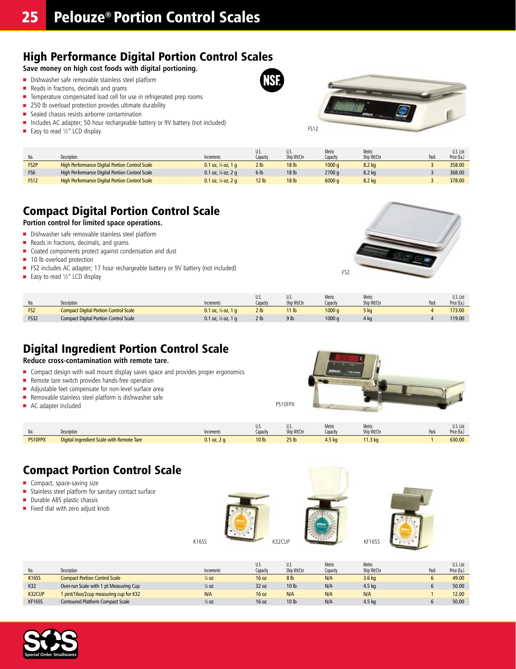### High Performance Digital Portion Control Scales

**Save money on high cost foods with digital portioning.**

- <sup>n</sup> Dishwasher safe removable stainless steel platform
- $\blacksquare$  Reads in fractions, decimals and grams
- Temperature compensated load cell for use in refrigerated prep rooms
- $\blacksquare$  250 lb overload protection provides ultimate durability
- $\blacksquare$  Sealed chassis resists airborne contamination
- Includes AC adapter; 50 hour rechargeable battery or 9V battery (not included)
- Easy to read  $\frac{1}{2}$ " LCD display



|                   | Description                                           | Increments                    | U.S.<br>Capacity | U.S.<br>Ship Wt/Ctn | Metric<br>Capacity | Metric<br>Ship Wt/Ctn | Pad | U.S. List<br>Price (Ea.) |
|-------------------|-------------------------------------------------------|-------------------------------|------------------|---------------------|--------------------|-----------------------|-----|--------------------------|
| FS <sub>2</sub> P | <b>High Performance Digital Portion Control Scale</b> | 0.1 oz, $\frac{1}{8}$ oz, 1 q | 2 <sub>1b</sub>  | 18 <sub>lb</sub>    | 1000a              | 8.2 kg                |     | 358.00                   |
| FS <sub>6</sub>   | High Performance Digital Portion Control Scale        | 0.1 oz, $\frac{1}{8}$ oz, 2 q | 6 <sub>lb</sub>  | 18 lb               | 2700 g             | 8.2 kg                |     | 368.00                   |
| <b>FS12</b>       | <b>High Performance Digital Portion Control Scale</b> | 0.1 oz, $\frac{1}{8}$ oz, 2 q | 12 <sub>1b</sub> | 18 <sub>lb</sub>    | 6000a              | 8.2 kg                |     | 378.00                   |

### Compact Digital Portion Control Scale

**Portion control for limited space operations.**

- **n** Dishwasher safe removable stainless steel platform
- $\blacksquare$  Reads in fractions, decimals, and grams
- <sup>n</sup> Coated components protect against condensation and dust
- $\blacksquare$  10 lb overload protection
- FS2 includes AC adapter; 17 hour rechargeable battery or 9V battery (not included)
- Easy to read  $\frac{1}{2}$ " LCD display



|                 |                                              |                                 | U.S.            | U.S.             | Metric   | Metric      |      | U.S. List   |
|-----------------|----------------------------------------------|---------------------------------|-----------------|------------------|----------|-------------|------|-------------|
| No.             | Description                                  | Increments                      | Capacity        | Ship Wt/Ctn      | Capacity | Ship Wt/Ctn | Pack | Price (Ea., |
| FS <sub>2</sub> | <b>Compact Digital Portion Control Scale</b> | $0.1$ oz. $\frac{1}{8}$ oz. 1 a | 2 <sub>lb</sub> | 11 <sub>lb</sub> | 1000a    | 5 kg        |      | 173.00      |
| <b>FS32</b>     | <b>Compact Digital Portion Control Scale</b> | 0.1 oz, $\frac{1}{8}$ oz, 1 q   | 2 <sub>lb</sub> | 9 <sub>lb</sub>  | 1000 q   | 4 kg        |      | 119.00      |

### Digital Ingredient Portion Control Scale

**Reduce cross-contamination with remote tare.**

- Compact design with wall mount display saves space and provides proper ergonomics
- Remote tare switch provides hands-free operation
- <sup>n</sup> Adjustable feet compensate for non-level surface area
- $\blacksquare$  Removable stainless steel platform is dishwasher safe
- AC adapter included

| IVU.    | Description                               | Increments    | U.J.<br>Capacity | п.<br>v.J.<br>Ship Wt/Ctn | Metric<br>capacity | Metric<br><sup>c</sup> hip Wt/Ctn | Pack | U.S. List<br>$\sim$ $\sim$<br>Price (Ea.) |
|---------|-------------------------------------------|---------------|------------------|---------------------------|--------------------|-----------------------------------|------|-------------------------------------------|
| PS10FPX | Digital Ingredient Scale with Remote Tare | $J.1$ oz, 2 g | 10 lb            | 25 <sub>1b</sub>          | 4.5 <sub>ka</sub>  | 1.3 <sub>kq</sub>                 |      | 630.00                                    |

PS10FPX

### Compact Portion Control Scale

- **n** Compact, space-saving size
- **n** Stainless steel platform for sanitary contact surface
- $\blacksquare$  Durable ABS plastic chassis
- $\blacksquare$  Fixed dial with zero adjust knob









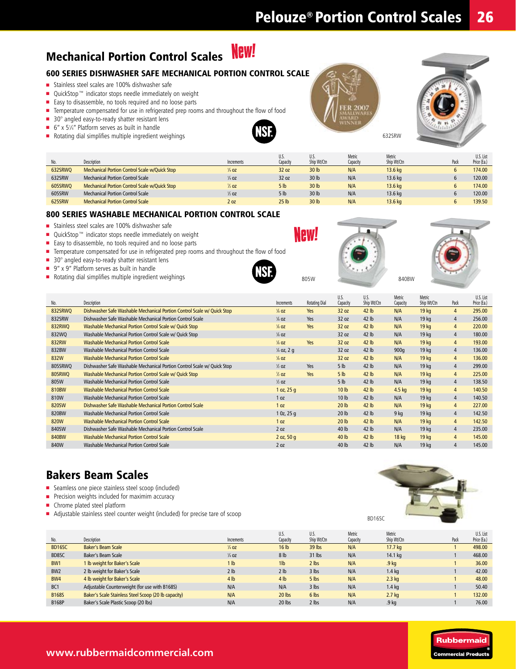#### **New!** Mechanical Portion Control Scales

### 600 Series Dishwasher Safe Mechanical Portion Control Scale

- Stainless steel scales are 100% dishwasher safe
- QuickStop™ indicator stops needle immediately on weight
- Easy to disassemble, no tools required and no loose parts
- Temperature compensated for use in refrigerated prep rooms and throughout the flow of food
- 30° angled easy-to-ready shatter resistant lens
- $\blacksquare$  6" x 51/4" Platform serves as built in handle
- $\blacksquare$  Rotating dial simplifies multiple ingredient weighings



| 632SRW |  |
|--------|--|

×

|         |                                                      |                  | U.S.             | U.S.             | Metric   | Metric      | U.S. List   |
|---------|------------------------------------------------------|------------------|------------------|------------------|----------|-------------|-------------|
|         | Description                                          | Increments       | Capacity         | Ship Wt/Ctn      | Capacity | Ship Wt/Ctn | Price (Ea.) |
| 632SRWO | Mechanical Portion Control Scale w/Quick Stop        | $\frac{1}{4}$ OZ | 32 oz            | 30 <sub>lb</sub> | N/A      | 13.6 kg     | 174.00      |
| 632SRW  | Mechanical Portion Control Scale                     | $\frac{1}{4}$ OZ | 32 oz            | 30 lb            | N/A      | 13.6 kg     | 120.00      |
| 605SRWO | <b>Mechanical Portion Control Scale w/Quick Stop</b> | $\frac{1}{2}$ oz | 5 <sub>h</sub>   | 30 <sub>lb</sub> | N/A      | 13.6 kg     | 174.00      |
| 605SRW  | Mechanical Portion Control Scale                     | $\frac{1}{2}$ oz | 5 <sub>h</sub>   | 30 lb            | N/A      | 13.6 kg     | 120.00      |
| 625SRW  | <b>Mechanical Portion Control Scale</b>              | 2 <sub>oz</sub>  | 25 <sub>1b</sub> | 30 lb            | N/A      | 13.6 ka     | 139.50      |

#### 800 Series Washable Mechanical Portion Control Scale

- Stainless steel scales are 100% dishwasher safe
- QuickStop™ indicator stops needle immediately on weight
- Easy to disassemble, no tools required and no loose parts
- **n** Temperature compensated for use in refrigerated prep rooms and throughout the flow of food
- $\blacksquare$  30 $^{\circ}$  angled easy-to-ready shatter resistant lens
- 9" x 9" Platform serves as built in handle
- $\blacksquare$  Rotating dial simplifies multiple ingredient weighings



**New!** 



BD16SC



| No.           | Description                                                             | Increments            | <b>Rotating Dial</b> | U.S.<br>Capacity | U.S.<br>Ship Wt/Ctn | Metric<br>Capacity | Metric<br>Ship Wt/Ctn | Pack           | U.S. List<br>Price (Ea.) |
|---------------|-------------------------------------------------------------------------|-----------------------|----------------------|------------------|---------------------|--------------------|-----------------------|----------------|--------------------------|
| 832SRWQ       | Dishwasher Safe Washable Mechanical Portion Control Scale w/ Quick Stop | $\frac{1}{8}$ OZ      | Yes                  | 32 oz            | 42 lb               | N/A                | 19 <sub>kg</sub>      | $\overline{4}$ | 295.00                   |
| 832SRW        | Dishwasher Safe Washable Mechanical Portion Control Scale               | $\frac{1}{8}$ OZ      | Yes                  | 32 oz            | 42 lb               | N/A                | 19 <sub>kg</sub>      | 4              | 256.00                   |
| 832RWQ        | Washable Mechanical Portion Control Scale w/ Quick Stop                 | $\frac{1}{8}$ OZ      | Yes                  | 32 oz            | 42 lb               | N/A                | 19 <sub>kg</sub>      | $\overline{4}$ | 220.00                   |
| 832WQ         | Washable Mechanical Portion Control Scale w/ Quick Stop                 | $\frac{1}{8}$ OZ      |                      | 32 oz            | 42 lb               | N/A                | 19 <sub>kg</sub>      | $\overline{4}$ | 180.00                   |
| <b>832RW</b>  | <b>Washable Mechanical Portion Control Scale</b>                        | $\frac{1}{8}$ OZ      | Yes                  | 32 oz            | 42 lb               | N/A                | 19 <sub>kg</sub>      | $\overline{4}$ | 193.00                   |
| 832BW         | Washable Mechanical Portion Control Scale                               | $\frac{1}{8}$ oz, 2 q |                      | 32 oz            | 42 lb               | 900q               | 19 <sub>kg</sub>      | $\overline{4}$ | 136.00                   |
| 832W          | <b>Washable Mechanical Portion Control Scale</b>                        | $\frac{1}{8}$ OZ      |                      | 32 oz            | 42 lb               | N/A                | 19 <sub>kg</sub>      | $\overline{4}$ | 136.00                   |
| 805SRWQ       | Dishwasher Safe Washable Mechanical Portion Control Scale w/ Quick Stop | $\frac{1}{2}$ oz      | Yes                  | 5 <sub>lb</sub>  | 42 lb               | N/A                | 19 <sub>kg</sub>      | $\overline{4}$ | 299.00                   |
| <b>805RWQ</b> | Washable Mechanical Portion Control Scale w/ Quick Stop                 | $\frac{1}{2}$ OZ      | Yes                  | 5 <sub>lb</sub>  | 42 lb               | N/A                | 19 <sub>kg</sub>      | $\overline{4}$ | 225.00                   |
| 805W          | Washable Mechanical Portion Control Scale                               | $\frac{1}{2}$ oz      |                      | 5 <sub>lb</sub>  | 42 lb               | N/A                | 19 <sub>kg</sub>      | $\overline{4}$ | 138.50                   |
| <b>810BW</b>  | <b>Washable Mechanical Portion Control Scale</b>                        | 1 oz, $25q$           |                      | 10 <sub>lb</sub> | 42 lb               | $4.5$ kg           | 19 <sub>kg</sub>      | $\overline{4}$ | 140.50                   |
| 810W          | <b>Washable Mechanical Portion Control Scale</b>                        | 1 <sub>oz</sub>       |                      | 10 <sub>lb</sub> | 42 lb               | N/A                | 19 <sub>kg</sub>      | $\overline{4}$ | 140.50                   |
| 820SW         | Dishwasher Safe Washable Mechanical Portion Control Scale               | 1 <sub>oz</sub>       |                      | 20 <sub>lb</sub> | 42 <sub>lb</sub>    | N/A                | 19 <sub>kg</sub>      | $\overline{4}$ | 227.00                   |
| 820BW         | Washable Mechanical Portion Control Scale                               | 10z, 25q              |                      | 20 <sub>1b</sub> | 42 lb               | 9 <sub>kg</sub>    | 19 <sub>kg</sub>      | $\overline{4}$ | 142.50                   |
| <b>820W</b>   | <b>Washable Mechanical Portion Control Scale</b>                        | 1 <sub>oz</sub>       |                      | 20 <sub>1b</sub> | 42 lb               | N/A                | 19 <sub>kg</sub>      | $\overline{4}$ | 142.50                   |
| 840SW         | Dishwasher Safe Washable Mechanical Portion Control Scale               | 2 <sub>0z</sub>       |                      | 40 lb            | 42 lb               | N/A                | 19 <sub>kg</sub>      | 4              | 235.00                   |
| <b>840BW</b>  | <b>Washable Mechanical Portion Control Scale</b>                        | 2 oz, 50 g            |                      | 40 lb            | 42 lb               | 18 <sub>kg</sub>   | 19 <sub>kg</sub>      | $\overline{4}$ | 145.00                   |
| 840W          | <b>Washable Mechanical Portion Control Scale</b>                        | 2 <sub>oz</sub>       |                      | 40 lb            | 42 lb               | N/A                | 19 <sub>kg</sub>      | 4              | 145.00                   |

### Bakers Beam Scales

- Seamless one piece stainless steel scoop (included)
- **Precision weights included for maximim accuracy**
- **n** Chrome plated steel platform
- Adjustable stainless steel counter weight (included) for precise tare of scoop



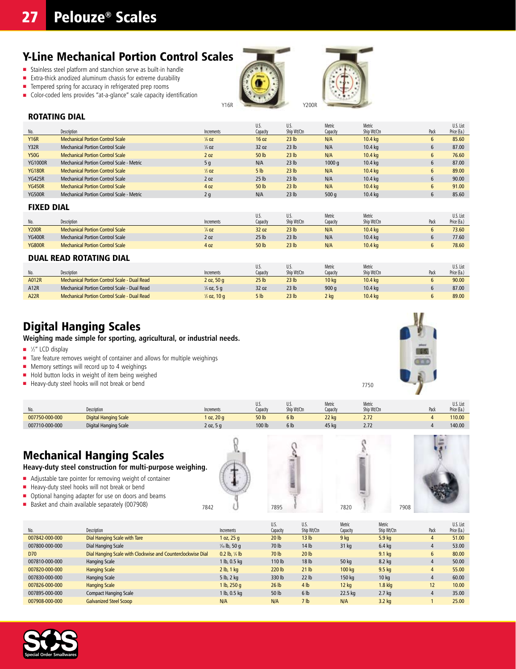### Y-Line Mechanical Portion Control Scales

- <sup>n</sup> Stainless steel platform and stanchion serve as built-in handle
- Extra-thick anodized aluminum chassis for extreme durability
- $\blacksquare$  Tempered spring for accuracy in refrigerated prep rooms
- Color-coded lens provides "at-a-glance" scale capacity identification





#### Rotating Dial

| No.            | Description                               | Increments       | U.S.<br>Capacity | U.S.<br>Ship Wt/Ctn | Metric<br>Capacity | Metric<br>Ship Wt/Ctn | Pack | U.S. List<br>Price (Ea.) |
|----------------|-------------------------------------------|------------------|------------------|---------------------|--------------------|-----------------------|------|--------------------------|
| <b>Y16R</b>    | <b>Mechanical Portion Control Scale</b>   | $\frac{1}{8}$ OZ | 16 oz            | 23 <sub>lb</sub>    | N/A                | 10.4 <sub>ka</sub>    | b    | 85.60                    |
| Y32R           | Mechanical Portion Control Scale          | $\frac{1}{4}$ OZ | 32 oz            | 23 <sub>lb</sub>    | N/A                | 10.4 <sub>kg</sub>    | 6    | 87.00                    |
| <b>Y50G</b>    | <b>Mechanical Portion Control Scale</b>   | 2 oz             | 50 lb            | 23 <sub>lb</sub>    | N/A                | 10.4 <sub>kg</sub>    | 6    | 76.60                    |
| <b>YG1000R</b> | Mechanical Portion Control Scale - Metric | 5q               | N/A              | 23 <sub>lb</sub>    | 1000a              | 10.4 <sub>kg</sub>    | 6    | 87.00                    |
| <b>YG180R</b>  | <b>Mechanical Portion Control Scale</b>   | $\frac{1}{2}$ OZ | 5 <sub>h</sub>   | 23 <sub>lb</sub>    | N/A                | 10.4 <sub>kg</sub>    | 6    | 89.00                    |
| <b>YG425R</b>  | Mechanical Portion Control Scale          | 2 <sub>0z</sub>  | 25 <sub>1b</sub> | 23 <sub>lb</sub>    | N/A                | 10.4 <sub>ka</sub>    | 6    | 90.00                    |
| <b>YG450R</b>  | <b>Mechanical Portion Control Scale</b>   | 4 oz             | 50 lb            | 23 <sub>lb</sub>    | N/A                | 10.4 <sub>kg</sub>    | 6    | 91.00                    |
| <b>YG500R</b>  | Mechanical Portion Control Scale - Metric | 2q               | N/A              | 23 <sub>lb</sub>    | 500q               | 10.4 <sub>ka</sub>    | 6    | 85.60                    |

#### Fixed Dial

|                  |                                         |                    | U.S.             | U.S.             | Metric   | Metric             |      | U.S. List   |
|------------------|-----------------------------------------|--------------------|------------------|------------------|----------|--------------------|------|-------------|
| <b>No</b><br>iv. | Description                             | Increments         | Capacity         | Ship Wt/Ctn      | Capacitv | Ship Wt/Ctn        | Pack | Price (Ea.) |
| <b>Y200R</b>     | Mechanical Portion Control Scale        | 1/ <sub>4</sub> OZ | 32 oz            | 23 <sub>lb</sub> | N/A      | 10.4 <sub>kg</sub> |      | 73.60       |
| <b>YG400R</b>    | <b>Mechanical Portion Control Scale</b> | 2 <sub>oz</sub>    | 25 <sub>1b</sub> | 23 <sub>lb</sub> | N/A      | 10.4 kg            |      | 77.60       |
| <b>YG800R</b>    | <b>Mechanical Portion Control Scale</b> | 4 oz               | 50 lb            | 23 <sub>lb</sub> | N/A      | 10.4 kg            |      | 78.60       |

#### Dual Read Rotating Dial

|             |                                              |                         | U.S.             | U.S.             | Metric           | Metric             |      | U.S. List   |
|-------------|----------------------------------------------|-------------------------|------------------|------------------|------------------|--------------------|------|-------------|
| No.         | Description                                  | Increments              | Capacity         | Ship Wt/Ctn      | Capacity         | Ship Wt/Ctn        | Pack | Price (Ea.) |
| A012R       | Mechanical Portion Control Scale - Dual Read | 2 oz, 50 g              | 25 <sub>1b</sub> | 23 <sub>lb</sub> | 10 <sub>ka</sub> | 10.4 <sub>ka</sub> |      | 90.00       |
| A12R        | Mechanical Portion Control Scale - Dual Read | 1/ <sub>4</sub> oz, 5 g | 32 oz            | 23 <sub>lb</sub> | 900q             | 10.4 <sub>ka</sub> |      | 87.00       |
| <b>A22R</b> | Mechanical Portion Control Scale - Dual Read | $\frac{1}{2}$ oz, 10 g  | 5 <sub>lb</sub>  | 23 <sub>lb</sub> | 2 ka             | 10.4 <sub>ka</sub> |      | 89.00       |

### Digital Hanging Scales

**Weighing made simple for sporting, agricultural, or industrial needs.**

- $\blacksquare$  1/<sub>2</sub>" LCD display
- $\blacksquare$  Tare feature removes weight of container and allows for multiple weighings
- $\blacksquare$  Memory settings will record up to 4 weighings
- $\blacksquare$  Hold button locks in weight of item being weighed
- Heavy-duty steel hooks will not break or bend



| IV.            | Description                  | Increments       | U.J.<br>Capacity | U.S.<br>Ship Wt/Ctn | Metric<br>Capacity | Metric<br>Ship Wt/Ctn | Pack | U.S. List<br>Price (Ea., |
|----------------|------------------------------|------------------|------------------|---------------------|--------------------|-----------------------|------|--------------------------|
| 007750-000-000 | <b>Digital Hanging Scale</b> | $\alpha$ z, 20 q | 50 lb            | 6 <sub>lb</sub>     | <b>22 kg</b>       | 2.12                  |      | 10.00                    |
| 007710-000-000 | Digital Hanging Scale        | 2 oz, 5          | 100 lb           | 6 <sub>lb</sub>     | 15 ko              | 2.12                  |      | 140.00                   |

### Mechanical Hanging Scales

**Heavy-duty steel construction for multi-purpose weighing.** 

- <sup>n</sup> Adjustable tare pointer for removing weight of container
- **n** Heavy-duty steel hooks will not break or bend
- Optional hanging adapter for use on doors and beams
- Basket and chain available separately (007908)



7750



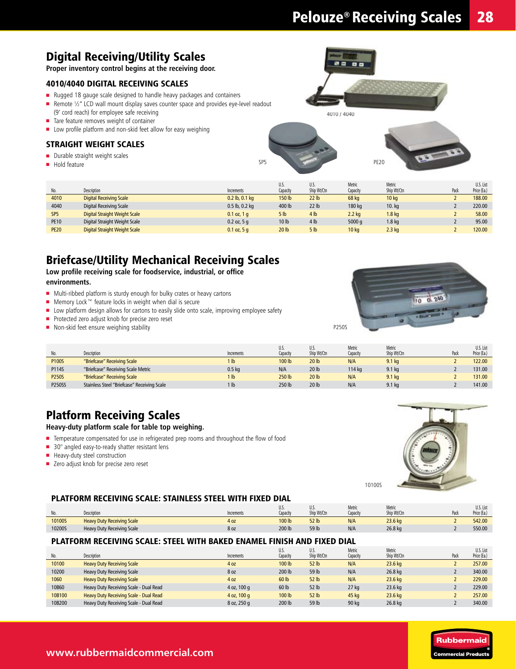## Digital Receiving/Utility Scales

**Proper inventory control begins at the receiving door.**

### 4010/4040 Digital Receiving scales

- $\blacksquare$  Rugged 18 gauge scale designed to handle heavy packages and containers
- Remote 1/2" LCD wall mount display saves counter space and provides eye-level readout
- (9' cord reach) for employee safe receiving
- Tare feature removes weight of container
- **n** Low profile platform and non-skid feet allow for easy weighing

### Straight Weight Scales

- $\blacksquare$  Durable straight weight scales
- $\blacksquare$  Hold feature



4010 / 4040

PE20

|                 |                                      |                    | U.S.            | U.S.             | Metric           | Metric            |      | U.S. List   |
|-----------------|--------------------------------------|--------------------|-----------------|------------------|------------------|-------------------|------|-------------|
| No.             | Description                          | Increments         | Capacity        | Ship Wt/Ctn      | Capacity         | Ship Wt/Ctn       | Pack | Price (Ea.) |
| 4010            | <b>Digital Receiving Scale</b>       | $0.2$ lb, $0.1$ kg | 150 lb          | 22 lb            | 68 kg            | 10 <sub>kg</sub>  |      | 188.00      |
| 4040            | Digital Receiving Scale              | $0.5$ lb, $0.2$ kg | 400 lb          | 22 <sub>lb</sub> | 180 kg           | 10. kg            |      | 220.00      |
| SP <sub>5</sub> | <b>Digital Straight Weight Scale</b> | $0.1$ oz, 1 q      | 5 <sub>lb</sub> | 4 <sub>lb</sub>  | $2.2$ kg         | 1.8 <sub>kq</sub> |      | 58.00       |
| <b>PE10</b>     | Digital Straight Weight Scale        | $0.2$ oz, 5 q      | 10 lb           | 4 <sub>lb</sub>  | 5000q            | 1.8 kg            |      | 95.00       |
| <b>PE20</b>     | Digital Straight Weight Scale        | $0.1$ oz, 5 q      | 20 lb           | 5 <sub>lb</sub>  | 10 <sub>kg</sub> | $2.3$ kg          |      | 120.00      |

SP<sub>5</sub>

### Briefcase/Utility Mechanical Receiving Scales

**Low profile receiving scale for foodservice, industrial, or office environments.**

- Multi-ribbed platform is sturdy enough for bulky crates or heavy cartons
- Memory Lock™ feature locks in weight when dial is secure
- $\blacksquare$  Low platform design allows for cartons to easily slide onto scale, improving employee safety
- **n** Protected zero adjust knob for precise zero reset
- $\blacksquare$  Non-skid feet ensure weighing stability



|               |                                             |                   | U.S.              | U.S.             | Metric   | Metric            |      | U.S. List   |
|---------------|---------------------------------------------|-------------------|-------------------|------------------|----------|-------------------|------|-------------|
| No.           | Description                                 | Increments        | Capacity          | Ship Wt/Ctn      | Capacity | Ship Wt/Ctn       | Pack | Price (Ea.) |
| <b>P100S</b>  | "Briefcase" Receiving Scale                 | l Ib              | 100 <sub>lb</sub> | 20 <sub>lb</sub> | N/A      | 9.1 <sub>kg</sub> |      | 122.00      |
| P114S         | "Briefcase" Receiving Scale Metric          | 0.5 <sub>kq</sub> | N/A               | 20 lb            | 114 ka   | $9.1$ kg          |      | 131.00      |
| <b>P250S</b>  | "Briefcase" Receiving Scale                 | l Ib              | 250 lb            | 20 <sub>lb</sub> | N/A      | 9.1 <sub>kg</sub> |      | 131.00      |
| <b>P250SS</b> | Stainless Steel "Briefcase" Receiving Scale | l Ib              | 250 lb            | 20 lb            | N/A      | $9.1$ kg          |      | 141.00      |

### Platform Receiving Scales

#### **Heavy-duty platform scale for table top weighing.**

- Temperature compensated for use in refrigerated prep rooms and throughout the flow of food
- $\blacksquare$  30° angled easy-to-ready shatter resistant lens
- **n** Heavy-duty steel construction
- Zero adjust knob for precise zero reset



#### Platform Receiving Scale: Stainless Steel with Fixed Dial

| <b>No</b><br>IV. | Description                       | Increments | U.J.<br>Capacity | U.J.<br>Ship Wt/Ctn | Metric<br>Capacity | Metric<br>Ship Wt/Ctn | Pack | U.S. List<br>Price (Ea.) |
|------------------|-----------------------------------|------------|------------------|---------------------|--------------------|-----------------------|------|--------------------------|
| 10100S           | <b>Heavy Duty Receiving Scale</b> | 4 oz       | 100 lb           | 52 lb               | N/A                | 23.6 kg               |      | 542.00                   |
| 10200S           | Heavy Duty Receiving Scale        | 8 oz       | 200 lb           | 59 lb               | N/A                | 26.8 kg               |      | 550.00                   |

#### Platform Receiving Scale: Steel with Baked Enamel Finish and Fixed Dial

| No.    | Description                            | Increments  | U.S.<br>Capacity  | U.S.<br>Ship Wt/Ctn | Metric<br>Capacity | Metric<br>Ship Wt/Ctn | Pack | U.S. List<br>Price (Ea.) |
|--------|----------------------------------------|-------------|-------------------|---------------------|--------------------|-----------------------|------|--------------------------|
| 10100  | <b>Heavy Duty Receiving Scale</b>      | 4 oz        | 100 <sub>lb</sub> | 52 <sub>1b</sub>    | N/A                | 23.6 kg               |      | 257.00                   |
| 10200  | <b>Heavy Duty Receiving Scale</b>      | 8 oz        | 200 lb            | 59 lb               | N/A                | 26.8 kg               |      | 340.00                   |
| 1060   | <b>Heavy Duty Receiving Scale</b>      | 4 oz        | 60 <sub>lb</sub>  | 52 <sub>1b</sub>    | N/A                | 23.6 kg               |      | 229.00                   |
| 10B60  | Heavy Duty Receiving Scale - Dual Read | 4 oz, 100 g | 60 lb             | 52 lb               | $27$ kg            | 23.6 kg               |      | 229.00                   |
| 10B100 | Heavy Duty Receiving Scale - Dual Read | 4 oz, 100 g | 100 <sub>lb</sub> | 52 <sub>1b</sub>    | 45 kg              | 23.6 kg               |      | 257.00                   |
| 10B200 | Heavy Duty Receiving Scale - Dual Read | 8 oz, 250 g | 200 lb            | 59 lb               | 90 kg              | 26.8 kg               |      | 340.00                   |

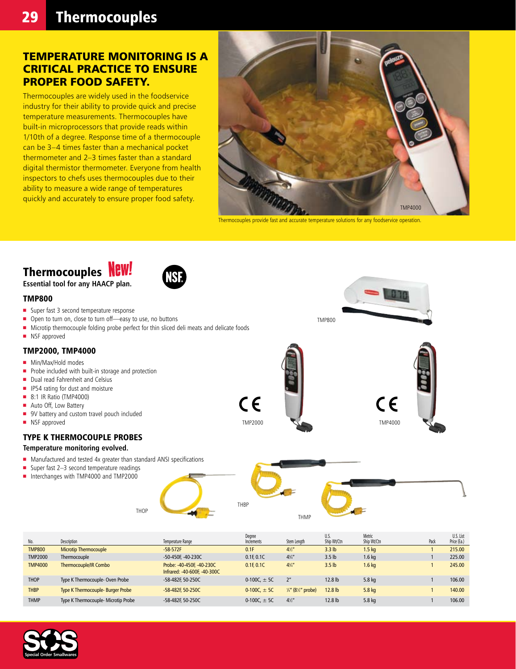### Temperature monitoring is a critical practice to ensure proper food safety.

Thermocouples are widely used in the foodservice industry for their ability to provide quick and precise temperature measurements. Thermocouples have built-in microprocessors that provide reads within 1/10th of a degree. Response time of a thermocouple can be 3–4 times faster than a mechanical pocket thermometer and 2–3 times faster than a standard digital thermistor thermometer. Everyone from health inspectors to chefs uses thermocouples due to their ability to measure a wide range of temperatures quickly and accurately to ensure proper food safety.



Thermocouples provide fast and accurate temperature solutions for any foodservice operation.

TMP800

TMP2000 TMP4000

## Thermocouples **NEW!**

**Essential tool for any HAACP plan.**

#### TMP800

- Super fast 3 second temperature response
- Open to turn on, close to turn off—easy to use, no buttons
- Microtip thermocouple folding probe perfect for thin sliced deli meats and delicate foods
- $\blacksquare$  NSF approved

#### TMP2000, TMP4000

- **n** Min/Max/Hold modes
- $\blacksquare$  Probe included with built-in storage and protection
- $\blacksquare$  Dual read Fahrenheit and Celsius
- $\blacksquare$  IP54 rating for dust and moisture
- **8:1 IR Ratio (TMP4000)**
- Auto Off, Low Battery
- **9V** battery and custom travel pouch included
- **n** NSF approved

### Type K Thermocouple Probes

#### **Temperature monitoring evolved.**

 $\blacksquare$  Manufactured and tested 4x greater than standard ANSI specifications

THOP

- $\blacksquare$  Super fast 2-3 second temperature readings
- n Interchanges with TMP4000 and TMP2000



| No.            | Description                         | Temperature Range                                         | Degree<br>Increments | Stem Length                               | U.S.<br>Ship Wt/Ctn | Metric<br>Ship Wt/Ctn | Pack | U.S. List<br>Price (Ea.) |
|----------------|-------------------------------------|-----------------------------------------------------------|----------------------|-------------------------------------------|---------------------|-----------------------|------|--------------------------|
| <b>TMP800</b>  | <b>Microtip Thermocouple</b>        | $-58-572F$                                                | 0.1F                 | 4''                                       | 3.3 <sub>lb</sub>   | 1.5 <sub>k</sub>      |      | 215.00                   |
| <b>TMP2000</b> | Thermocouple                        | -50-450F, -40-230C                                        | 0.1F 0.1C            | $4\frac{3}{4}$                            | 3.5 <sub>lb</sub>   | $1.6$ kg              |      | 225.00                   |
| <b>TMP4000</b> | <b>Thermocouple/IR Combo</b>        | Probe: -40-450F. -40-230C<br>Infrared: -40-600F, -40-300C | 0.1F 0.1C            | $4^{3}/4$                                 | 3.5 <sub>lb</sub>   | $1.6$ kg              |      | 245.00                   |
| <b>THOP</b>    | Type K Thermocouple- Oven Probe     | -58-482F 50-250C                                          | 0-100C. $\pm$ 5C     | 2 <sup>n</sup>                            | $12.8$ lb           | 5.8 kg                |      | 106.00                   |
| <b>THBP</b>    | Type K Thermocouple- Burger Probe   | -58-482F, 50-250C                                         | 0-100C. $\pm$ 5C     | $\frac{1}{4}$ " (8 $\frac{1}{2}$ " probe) | $12.8$ lb           | 5.8 <sub>kq</sub>     |      | 140.00                   |
| <b>THMP</b>    | Type K Thermocouple- Microtip Probe | -58-482F 50-250C                                          | 0-100C. $\pm$ 5C     | $4\frac{1}{2}$                            | 12.8 <sub>lb</sub>  | 5.8 kg                |      | 106.00                   |

 $\epsilon$ 

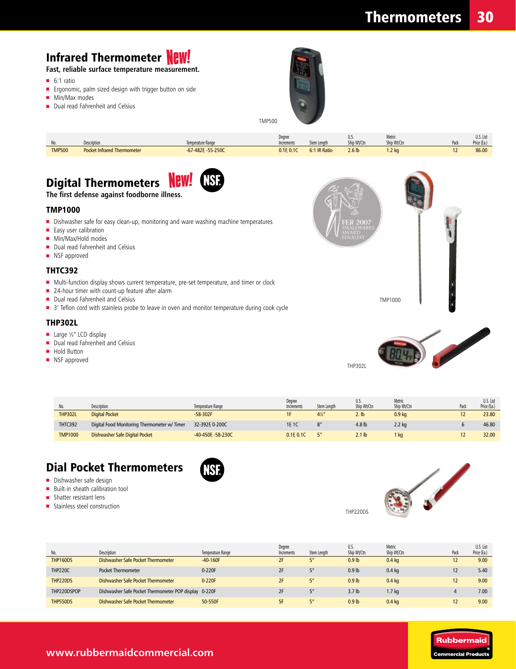## **Infrared Thermometer NEW!**

**Fast, reliable surface temperature measurement.**

- $\blacksquare$  6:1 ratio
- **n** Ergonomic, palm sized design with trigger button on side
- $Min/Max$  modes
- Dual read Fahrenheit and Celsius



| $\mathbf{M}$<br>IV. | Description                        | Temperature Range        | Dearee<br>Increments | Stem Lenath  | υ.υ.<br>Ship Wt/Ctn | Metric<br>Ship Wt/Ctn | U.S. List<br>Price (Ea.) |
|---------------------|------------------------------------|--------------------------|----------------------|--------------|---------------------|-----------------------|--------------------------|
| <b>TMP500</b>       | <b>Pocket Infrared Thermometer</b> | $-67 - 482F - 55 - 250C$ | 0.1F, 0.1C           | 6:1 IR Ratio | 2.6 <sub>lb</sub>   | $1.2$ kg              | 86.00                    |

TMP500

# Digital Thermometers **New!**



#### **The first defense against foodborne illness.**

#### TMP1000

- Dishwasher safe for easy clean-up, monitoring and ware washing machine temperatures
- $\blacksquare$  Easy user calibration
- Min/Max/Hold modes
- Dual read Fahrenheit and Celsius
- NSF approved

### THTC392

- Multi-function display shows current temperature, pre-set temperature, and timer or clock
- 24-hour timer with count-up feature after alarm
- Dual read Fahrenheit and Celsius
- 3' Teflon cord with stainless probe to leave in oven and monitor temperature during cook cycle

#### THP302L

- Large 3/8" LCD display
- Dual read Fahrenheit and Celsius
- Hold Button
- **NSF** approved



|                |                                              |                    | Degree     |                | U.S.              | Metric            |      | U.S. List   |
|----------------|----------------------------------------------|--------------------|------------|----------------|-------------------|-------------------|------|-------------|
| No.            | <b>Description</b>                           | Temperature Range  | Increments | Stem Lenath    | Ship Wt/Ctn       | Ship Wt/Ctn       | Paci | Price (Ea.) |
| <b>THP302L</b> | <b>Digital Pocket</b>                        | $-58-302F$         |            | $4\frac{7}{8}$ | $2.$ lb           | 0.9 <sub>kg</sub> |      | 23.80       |
| THTC392        | Digital Food Monitoring Thermometer w/ Timer | 32-392F. 0-200C    | 1F. 1C     |                | 4.8 <sub>lb</sub> | 2.2 kg            |      | 46.80       |
| <b>TMP1000</b> | Dishwasher Safe Digital Pocket               | -40-450F, -58-230C | 0.1F 0.1C  |                | $2.1$ lb          | , ka              |      | 32.00       |

### Dial Pocket Thermometers

- **n** Dishwasher safe design
- Built-in sheath calibration tool
- $\blacksquare$  Shatter resistant lens
- **n** Stainless steel construction





THP220DS

| No.             | Description                                           | Temperature Range | Degree<br>Increments | Stem Lenath                 | U.S.<br>Ship Wt/Ctn | Metric<br>Ship Wt/Ctn | Pack         | U.S. List<br>Price (Ea.) |
|-----------------|-------------------------------------------------------|-------------------|----------------------|-----------------------------|---------------------|-----------------------|--------------|--------------------------|
| <b>THP160DS</b> | Dishwasher Safe Pocket Thermometer                    | $-40-160F$        | 2F                   | F''                         | 0.9 <sub>lb</sub>   | $0.4$ kg              | $\mathbf{z}$ | 9.00                     |
| <b>THP220C</b>  | <b>Pocket Thermometer</b>                             | $0-220F$          | 2F                   | $\mathbf{K}^{\prime\prime}$ | 0.9 <sub>lb</sub>   | $0.4$ kg              |              | 5.40                     |
| THP220DS        | Dishwasher Safe Pocket Thermometer                    | 0-220F            | 2F                   | 5 <sup>n</sup>              | 0.9 <sub>lb</sub>   | $0.4$ kg              |              | 9.00                     |
| THP220DSPOP     | Dishwasher Safe Pocket Thermometer POP display 0-220F |                   | 2F                   | $\mathbf{K}^{\prime\prime}$ | 3.7 <sub>lb</sub>   | 1.7 kg                |              | 7.00                     |
| THP550DS        | Dishwasher Safe Pocket Thermometer                    | 50-550F           | 5F                   | 5 <sup>n</sup>              | 0.9 <sub>lb</sub>   | $0.4$ kg              |              | 9.00                     |



### **www.rubbermaidcommercial.com**